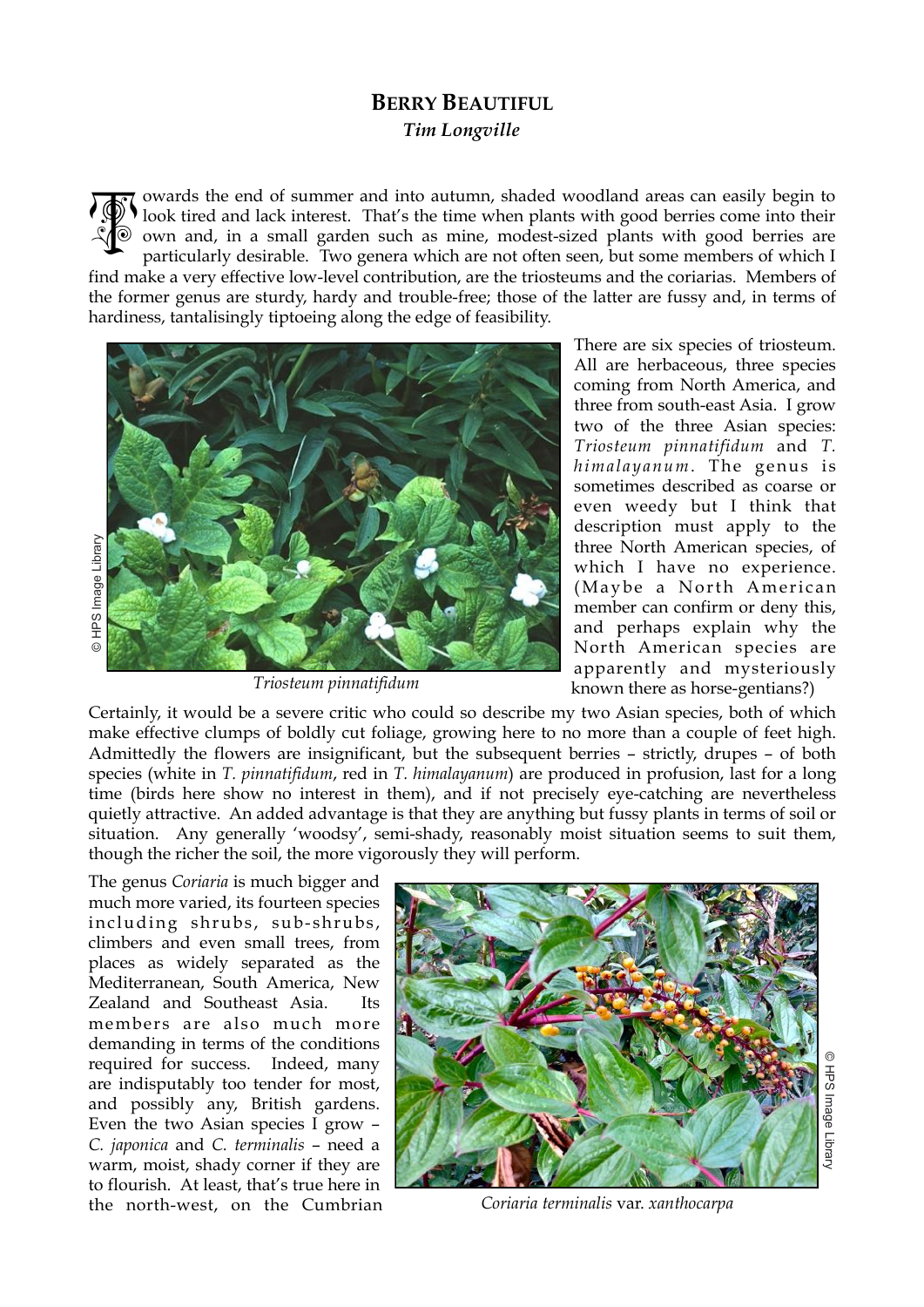## **BERRY BEAUTIFUL**  *Tim Longville*

owards the end of summer and into autumn, shaded woodland areas can easily begin to look tired and lack interest. That's the time when plants with good berries come into their own and, in a small garden such as mine, modest-sized plants with good berries are particularly desirable. Two genera which are not often seen, but some members of which I 高

find make a very effective low-level contribution, are the triosteums and the coriarias. Members of the former genus are sturdy, hardy and trouble-free; those of the latter are fussy and, in terms of hardiness, tantalisingly tiptoeing along the edge of feasibility.



*Triosteum pinnatifidum* 

There are six species of triosteum. All are herbaceous, three species coming from North America, and three from south-east Asia. I grow two of the three Asian species: *Triosteum pinnatifidum* and *T. himalayanum*. The genus is sometimes described as coarse or even weedy but I think that description must apply to the three North American species, of which I have no experience.  $(Ma v be a North American)$ member can confirm or deny this, and perhaps explain why the North American species are apparently and mysteriously known there as horse-gentians?)

Certainly, it would be a severe critic who could so describe my two Asian species, both of which make effective clumps of boldly cut foliage, growing here to no more than a couple of feet high. Admittedly the flowers are insignificant, but the subsequent berries – strictly, drupes – of both species (white in *T. pinnatifidum*, red in *T. himalayanum*) are produced in profusion, last for a long time (birds here show no interest in them), and if not precisely eye-catching are nevertheless quietly attractive. An added advantage is that they are anything but fussy plants in terms of soil or situation. Any generally 'woodsy', semi-shady, reasonably moist situation seems to suit them, though the richer the soil, the more vigorously they will perform.

The genus *Coriaria* is much bigger and much more varied, its fourteen species including shrubs, sub-shrubs, climbers and even small trees, from places as widely separated as the Mediterranean, South America, New Zealand and Southeast Asia. Its members are also much more demanding in terms of the conditions required for success. Indeed, many are indisputably too tender for most, and possibly any, British gardens. Even the two Asian species I grow – *C. japonica* and *C. terminalis* – need a warm, moist, shady corner if they are to flourish. At least, that's true here in the north-west, on the Cumbrian



*Coriaria terminalis* var. *xanthocarpa*

© HPS Image Library O HPS Image Library